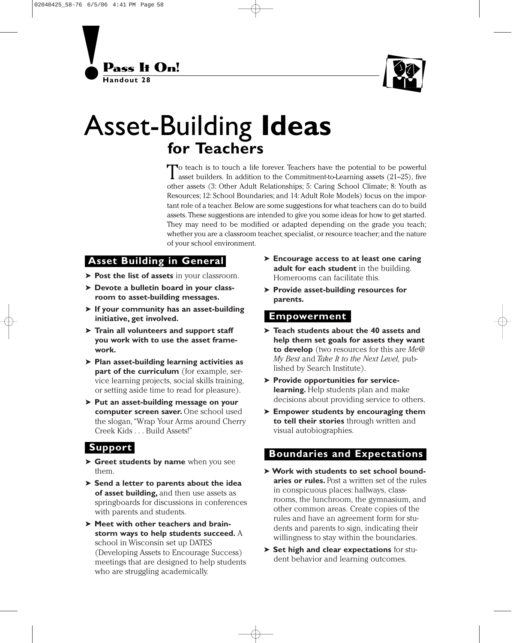



# Asset-Building **Ideas for Teachers**

To teach is to touch a life forever. Teachers have the potential to be powerful asset builders. In addition to the Commitment-to-Learning assets (21–25), five other assets (3: Other Adult Relationships; 5: Caring School Climate; 8: Youth as Resources; 12: School Boundaries; and 14: Adult Role Models) focus on the important role of a teacher. Below are some suggestions for what teachers can do to build assets. These suggestions are intended to give you some ideas for how to get started. They may need to be modified or adapted depending on the grade you teach; whether you are a classroom teacher, specialist, or resource teacher; and the nature of your school environment.

## **Asset Building in General**

- ➤ **Post the list of assets** in your classroom.
- ➤ **Devote a bulletin board in your classroom to asset-building messages.**
- ➤ **If your community has an asset-building initiative, get involved.**
- ➤ **Train all volunteers and support staff you work with to use the asset framework.**
- ➤ **Plan asset-building learning activities as part of the curriculum** (for example, service learning projects, social skills training, or setting aside time to read for pleasure).
- ➤ **Put an asset-building message on your computer screen saver.** One school used the slogan,"Wrap Your Arms around Cherry Creek Kids ... Build Assets!"

### **Support**

- ➤ **Greet students by name** when you see them.
- ➤ **Send a letter to parents about the idea of asset building,** and then use assets as springboards for discussions in conferences with parents and students.
- ➤ **Meet with other teachers and brainstorm ways to help students succeed.** A school in Wisconsin set up DATES (Developing Assets to Encourage Success) meetings that are designed to help students who are struggling academically.
- ➤ **Encourage access to at least one caring adult for each student** in the building. Homerooms can facilitate this.
- ➤ **Provide asset-building resources for parents.**

#### **Empowerment**

- ➤ **Teach students about the 40 assets and help them set goals for assets they want to develop** (two resources for this are *Me@ My Best* and *Take It to the Next Level,* published by Search Institute).
- ➤ **Provide opportunities for servicelearning.** Help students plan and make decisions about providing service to others.
- ➤ **Empower students by encouraging them to tell their stories** through written and visual autobiographies.

#### **Boundaries and Expectations**

- ➤**Work with students to set school boundaries or rules.** Post a written set of the rules in conspicuous places: hallways, classrooms, the lunchroom, the gymnasium, and other common areas. Create copies of the rules and have an agreement form for students and parents to sign, indicating their willingness to stay within the boundaries.
- ➤ **Set high and clear expectations** for student behavior and learning outcomes.